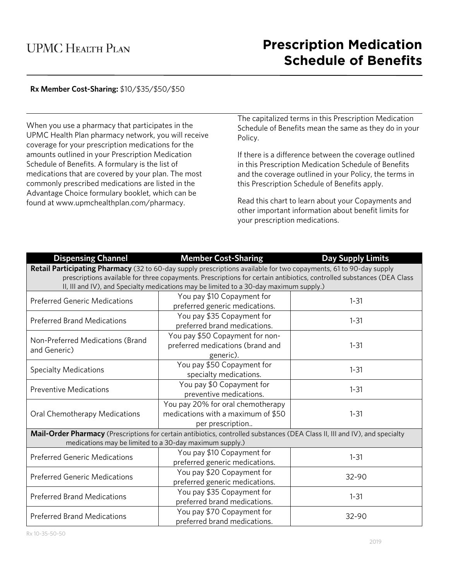# **Rx Member Cost-Sharing:** \$10/\$35/\$50/\$50

When you use a pharmacy that participates in the UPMC Health Plan pharmacy network, you will receive coverage for your prescription medications for the amounts outlined in your Prescription Medication Schedule of Benefits. A formulary is the list of medications that are covered by your plan. The most commonly prescribed medications are listed in the Advantage Choice formulary booklet, which can be found at www.upmchealthplan.com/pharmacy.

The capitalized terms in this Prescription Medication Schedule of Benefits mean the same as they do in your Policy.

If there is a difference between the coverage outlined in this Prescription Medication Schedule of Benefits and the coverage outlined in your Policy, the terms in this Prescription Schedule of Benefits apply.

Read this chart to learn about your Copayments and other important information about benefit limits for your prescription medications.

| <b>Dispensing Channel</b>                                                                                                                                                                                       | <b>Member Cost-Sharing</b>                                                                                                  | <b>Day Supply Limits</b> |  |  |
|-----------------------------------------------------------------------------------------------------------------------------------------------------------------------------------------------------------------|-----------------------------------------------------------------------------------------------------------------------------|--------------------------|--|--|
| Retail Participating Pharmacy (32 to 60-day supply prescriptions available for two copayments, 61 to 90-day supply                                                                                              |                                                                                                                             |                          |  |  |
| prescriptions available for three copayments. Prescriptions for certain antibiotics, controlled substances (DEA Class<br>II, III and IV), and Specialty medications may be limited to a 30-day maximum supply.) |                                                                                                                             |                          |  |  |
|                                                                                                                                                                                                                 |                                                                                                                             |                          |  |  |
| <b>Preferred Generic Medications</b>                                                                                                                                                                            | You pay \$10 Copayment for                                                                                                  | $1 - 31$                 |  |  |
|                                                                                                                                                                                                                 | preferred generic medications.                                                                                              |                          |  |  |
| <b>Preferred Brand Medications</b>                                                                                                                                                                              | You pay \$35 Copayment for                                                                                                  | $1 - 31$                 |  |  |
|                                                                                                                                                                                                                 | preferred brand medications.                                                                                                |                          |  |  |
| Non-Preferred Medications (Brand                                                                                                                                                                                | You pay \$50 Copayment for non-                                                                                             |                          |  |  |
| and Generic)                                                                                                                                                                                                    | preferred medications (brand and                                                                                            | $1 - 31$                 |  |  |
|                                                                                                                                                                                                                 | generic).                                                                                                                   |                          |  |  |
|                                                                                                                                                                                                                 | You pay \$50 Copayment for                                                                                                  | $1 - 31$                 |  |  |
| <b>Specialty Medications</b>                                                                                                                                                                                    | specialty medications.                                                                                                      |                          |  |  |
|                                                                                                                                                                                                                 | You pay \$0 Copayment for                                                                                                   | $1 - 31$                 |  |  |
| <b>Preventive Medications</b>                                                                                                                                                                                   | preventive medications.                                                                                                     |                          |  |  |
| Oral Chemotherapy Medications                                                                                                                                                                                   | You pay 20% for oral chemotherapy                                                                                           |                          |  |  |
|                                                                                                                                                                                                                 | medications with a maximum of \$50                                                                                          | $1 - 31$                 |  |  |
|                                                                                                                                                                                                                 | per prescription                                                                                                            |                          |  |  |
|                                                                                                                                                                                                                 | Mail-Order Pharmacy (Prescriptions for certain antibiotics, controlled substances (DEA Class II, III and IV), and specialty |                          |  |  |
| medications may be limited to a 30-day maximum supply.)                                                                                                                                                         |                                                                                                                             |                          |  |  |
| <b>Preferred Generic Medications</b>                                                                                                                                                                            | You pay \$10 Copayment for                                                                                                  | $1 - 31$                 |  |  |
|                                                                                                                                                                                                                 | preferred generic medications.                                                                                              |                          |  |  |
| <b>Preferred Generic Medications</b>                                                                                                                                                                            | You pay \$20 Copayment for                                                                                                  | 32-90                    |  |  |
|                                                                                                                                                                                                                 | preferred generic medications.                                                                                              |                          |  |  |
| <b>Preferred Brand Medications</b>                                                                                                                                                                              | You pay \$35 Copayment for                                                                                                  | $1 - 31$                 |  |  |
|                                                                                                                                                                                                                 | preferred brand medications.                                                                                                |                          |  |  |
| <b>Preferred Brand Medications</b>                                                                                                                                                                              | You pay \$70 Copayment for                                                                                                  | 32-90                    |  |  |
|                                                                                                                                                                                                                 | preferred brand medications.                                                                                                |                          |  |  |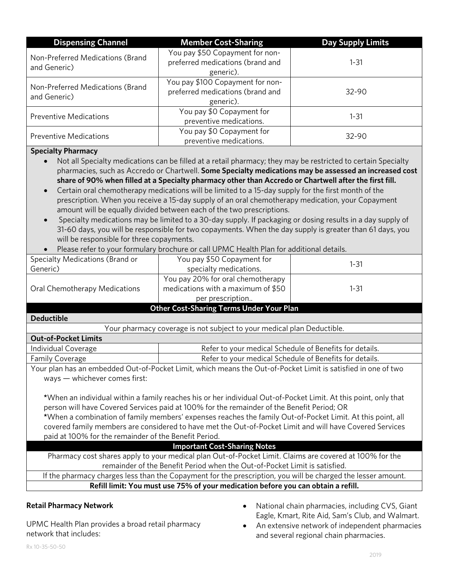| <b>Dispensing Channel</b>                        | <b>Member Cost-Sharing</b>                                                        | <b>Day Supply Limits</b> |
|--------------------------------------------------|-----------------------------------------------------------------------------------|--------------------------|
| Non-Preferred Medications (Brand<br>and Generic) | You pay \$50 Copayment for non-<br>preferred medications (brand and<br>generic).  | $1 - 31$                 |
| Non-Preferred Medications (Brand<br>and Generic) | You pay \$100 Copayment for non-<br>preferred medications (brand and<br>generic). | $32 - 90$                |
| <b>Preventive Medications</b>                    | You pay \$0 Copayment for<br>preventive medications.                              | $1 - 31$                 |
| <b>Preventive Medications</b>                    | You pay \$0 Copayment for<br>preventive medications.                              | $32 - 90$                |

### **Specialty Pharmacy**

- Not all Specialty medications can be filled at a retail pharmacy; they may be restricted to certain Specialty pharmacies, such as Accredo or Chartwell. **Some Specialty medications may be assessed an increased cost** share of 90% when filled at a Specialty pharmacy other than Accredo or Chartwell after the first fill.
- Certain oral chemotherapy medications will be limited to a 15-day supply for the first month of the prescription. When you receive a 15-day supply of an oral chemotherapy medication, your Copayment amount will be equally divided between each of the two prescriptions.
- Specialty medications may be limited to a 30-day supply. If packaging or dosing results in a day supply of 31-60 days, you will be responsible for two copayments. When the day supply is greater than 61 days, you will be responsible for three copayments.
- Please refer to your formulary brochure or call UPMC Health Plan for additional details.

| Specialty Medications (Brand or                                                                               | You pay \$50 Copayment for                                                                                          | $1 - 31$ |  |  |  |
|---------------------------------------------------------------------------------------------------------------|---------------------------------------------------------------------------------------------------------------------|----------|--|--|--|
| Generic)                                                                                                      | specialty medications.                                                                                              |          |  |  |  |
|                                                                                                               | You pay 20% for oral chemotherapy                                                                                   |          |  |  |  |
| Oral Chemotherapy Medications                                                                                 | medications with a maximum of $$50$                                                                                 | $1 - 31$ |  |  |  |
|                                                                                                               | per prescription                                                                                                    |          |  |  |  |
|                                                                                                               | <b>Other Cost-Sharing Terms Under Your Plan</b>                                                                     |          |  |  |  |
| <b>Deductible</b>                                                                                             |                                                                                                                     |          |  |  |  |
| Your pharmacy coverage is not subject to your medical plan Deductible.                                        |                                                                                                                     |          |  |  |  |
| <b>Out-of-Pocket Limits</b>                                                                                   |                                                                                                                     |          |  |  |  |
| Individual Coverage                                                                                           | Refer to your medical Schedule of Benefits for details.                                                             |          |  |  |  |
| <b>Family Coverage</b>                                                                                        | Refer to your medical Schedule of Benefits for details.                                                             |          |  |  |  |
| Your plan has an embedded Out-of-Pocket Limit, which means the Out-of-Pocket Limit is satisfied in one of two |                                                                                                                     |          |  |  |  |
| ways - whichever comes first:                                                                                 |                                                                                                                     |          |  |  |  |
|                                                                                                               |                                                                                                                     |          |  |  |  |
|                                                                                                               | *When an individual within a family reaches his or her individual Out-of-Pocket Limit. At this point, only that     |          |  |  |  |
|                                                                                                               | person will have Covered Services paid at 100% for the remainder of the Benefit Period; OR                          |          |  |  |  |
| *When a combination of family members' expenses reaches the family Out-of-Pocket Limit. At this point, all    |                                                                                                                     |          |  |  |  |
| covered family members are considered to have met the Out-of-Pocket Limit and will have Covered Services      |                                                                                                                     |          |  |  |  |
| paid at 100% for the remainder of the Benefit Period.                                                         |                                                                                                                     |          |  |  |  |
| <b>Important Cost-Sharing Notes</b>                                                                           |                                                                                                                     |          |  |  |  |
| Pharmacy cost shares apply to your medical plan Out-of-Pocket Limit. Claims are covered at 100% for the       |                                                                                                                     |          |  |  |  |
| remainder of the Benefit Period when the Out-of-Pocket Limit is satisfied.                                    |                                                                                                                     |          |  |  |  |
|                                                                                                               | If the enhancement also contributed by $\mathcal{L}$ and a contribution of a state of the state of the contribution |          |  |  |  |

If the pharmacy charges less than the Copayment for the prescription, you will be charged the lesser amount. **Refill limit: You must use 75% of your medication before you can obtain a refill.**

## **Retail Pharmacy Network**

UPMC Health Plan provides a broad retail pharmacy network that includes:

- National chain pharmacies, including CVS, Giant Eagle, Kmart, Rite Aid, Sam's Club, and Walmart.
- An extensive network of independent pharmacies and several regional chain pharmacies.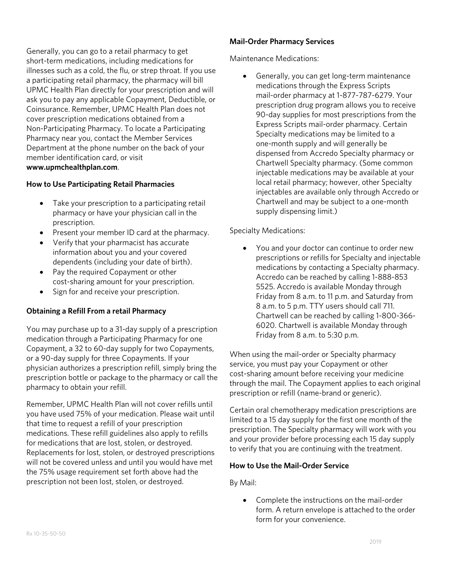Generally, you can go to a retail pharmacy to get short-term medications, including medications for illnesses such as a cold, the flu, or strep throat. If you use a participating retail pharmacy, the pharmacy will bill UPMC Health Plan directly for your prescription and will ask you to pay any applicable Copayment, Deductible, or Coinsurance. Remember, UPMC Health Plan does not cover prescription medications obtained from a Non-Participating Pharmacy. To locate a Participating Pharmacy near you, contact the Member Services Department at the phone number on the back of your member identification card, or visit **www.upmchealthplan.com**.

### **How to Use Participating Retail Pharmacies**

- Take your prescription to a participating retail pharmacy or have your physician call in the prescription.
- Present your member ID card at the pharmacy.
- Verify that your pharmacist has accurate information about you and your covered dependents (including your date of birth).
- Pay the required Copayment or other cost-sharing amount for your prescription.
- Sign for and receive your prescription.

## **Obtaining a Refill From a retail Pharmacy**

You may purchase up to a 31-day supply of a prescription medication through a Participating Pharmacy for one Copayment, a 32 to 60-day supply for two Copayments, or a 90-day supply for three Copayments. If your physician authorizes a prescription refill, simply bring the prescription bottle or package to the pharmacy or call the pharmacy to obtain your refill.

Remember, UPMC Health Plan will not cover refills until you have used 75% of your medication. Please wait until that time to request a refill of your prescription medications. These refill guidelines also apply to refills for medications that are lost, stolen, or destroyed. Replacements for lost, stolen, or destroyed prescriptions will not be covered unless and until you would have met the 75% usage requirement set forth above had the prescription not been lost, stolen, or destroyed.

### **Mail-Order Pharmacy Services**

Maintenance Medications:

 Generally, you can get long-term maintenance medications through the Express Scripts mail-order pharmacy at 1-877-787-6279. Your prescription drug program allows you to receive 90-day supplies for most prescriptions from the Express Scripts mail-order pharmacy. Certain Specialty medications may be limited to a one-month supply and will generally be dispensed from Accredo Specialty pharmacy or Chartwell Specialty pharmacy. (Some common injectable medications may be available at your local retail pharmacy; however, other Specialty injectables are available only through Accredo or Chartwell and may be subject to a one-month supply dispensing limit.)

#### Specialty Medications:

 You and your doctor can continue to order new prescriptions or refills for Specialty and injectable medications by contacting a Specialty pharmacy. Accredo can be reached by calling 1-888-853 5525. Accredo is available Monday through Friday from 8 a.m. to 11 p.m. and Saturday from 8 a.m. to 5 p.m. TTY users should call 711. Chartwell can be reached by calling 1-800-366- 6020. Chartwell is available Monday through Friday from 8 a.m. to 5:30 p.m.

When using the mail-order or Specialty pharmacy service, you must pay your Copayment or other cost-sharing amount before receiving your medicine through the mail. The Copayment applies to each original prescription or refill (name-brand or generic).

Certain oral chemotherapy medication prescriptions are limited to a 15 day supply for the first one month of the prescription. The Specialty pharmacy will work with you and your provider before processing each 15 day supply to verify that you are continuing with the treatment.

#### **How to Use the Mail-Order Service**

By Mail:

• Complete the instructions on the mail-order form. A return envelope is attached to the order form for your convenience.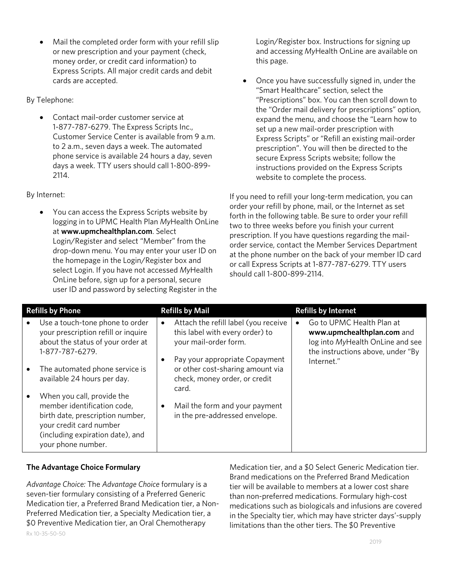Mail the completed order form with your refill slip or new prescription and your payment (check, money order, or credit card information) to Express Scripts. All major credit cards and debit cards are accepted.

By Telephone:

 Contact mail-order customer service at 1-877-787-6279. The Express Scripts Inc., Customer Service Center is available from 9 a.m. to 2 a.m., seven days a week. The automated phone service is available 24 hours a day, seven days a week. TTY users should call 1-800-899- 2114.

By Internet:

 You can access the Express Scripts website by logging in to UPMC Health Plan *My*Health OnLine at **www.upmchealthplan.com**. Select Login/Register and select "Member" from the drop-down menu. You may enter your user ID on the homepage in the Login/Register box and select Login. If you have not accessed *My*Health OnLine before, sign up for a personal, secure user ID and password by selecting Register in the

Login/Register box. Instructions for signing up and accessing *My*Health OnLine are available on this page.

 Once you have successfully signed in, under the "Smart Healthcare" section, select the "Prescriptions" box. You can then scroll down to the "Order mail delivery for prescriptions" option, expand the menu, and choose the "Learn how to set up a new mail-order prescription with Express Scripts" or "Refill an existing mail-order prescription". You will then be directed to the secure Express Scripts website; follow the instructions provided on the Express Scripts website to complete the process.

If you need to refill your long-term medication, you can order your refill by phone, mail, or the Internet as set forth in the following table. Be sure to order your refill two to three weeks before you finish your current prescription. If you have questions regarding the mailorder service, contact the Member Services Department at the phone number on the back of your member ID card or call Express Scripts at 1-877-787-6279. TTY users should call 1-800-899-2114.

| <b>Refills by Phone</b>                                                                                                                              | <b>Refills by Mail</b>                                                                                                                          | <b>Refills by Internet</b>                                                                                                                     |
|------------------------------------------------------------------------------------------------------------------------------------------------------|-------------------------------------------------------------------------------------------------------------------------------------------------|------------------------------------------------------------------------------------------------------------------------------------------------|
| Use a touch-tone phone to order<br>your prescription refill or inquire<br>about the status of your order at<br>1-877-787-6279.                       | Attach the refill label (you receive<br>$\bullet$<br>this label with every order) to<br>your mail-order form.<br>Pay your appropriate Copayment | Go to UPMC Health Plan at<br>www.upmchealthplan.com and<br>log into MyHealth OnLine and see<br>the instructions above, under "By<br>Internet." |
| The automated phone service is<br>available 24 hours per day.<br>When you call, provide the                                                          | or other cost-sharing amount via<br>check, money order, or credit<br>card.                                                                      |                                                                                                                                                |
| member identification code,<br>birth date, prescription number,<br>your credit card number<br>(including expiration date), and<br>your phone number. | Mail the form and your payment<br>$\bullet$<br>in the pre-addressed envelope.                                                                   |                                                                                                                                                |

# **The Advantage Choice Formulary**

Rx 10-35-50-50 *Advantage Choice:* The *Advantage Choice* formulary is a seven-tier formulary consisting of a Preferred Generic Medication tier, a Preferred Brand Medication tier, a Non-Preferred Medication tier, a Specialty Medication tier, a \$0 Preventive Medication tier, an Oral Chemotherapy

Medication tier, and a \$0 Select Generic Medication tier. Brand medications on the Preferred Brand Medication tier will be available to members at a lower cost share than non-preferred medications. Formulary high-cost medications such as biologicals and infusions are covered in the Specialty tier, which may have stricter days'-supply limitations than the other tiers. The \$0 Preventive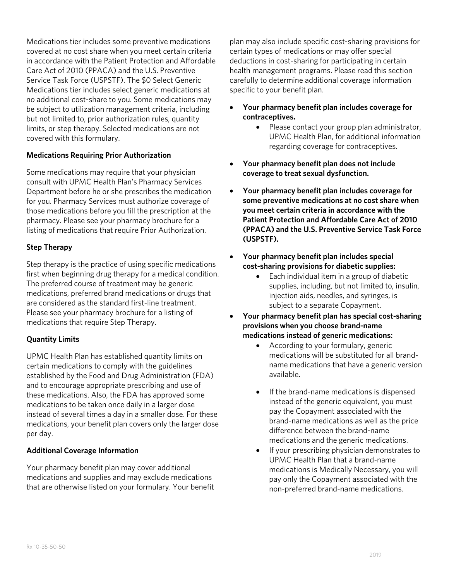Medications tier includes some preventive medications covered at no cost share when you meet certain criteria in accordance with the Patient Protection and Affordable Care Act of 2010 (PPACA) and the U.S. Preventive Service Task Force (USPSTF). The \$0 Select Generic Medications tier includes select generic medications at no additional cost-share to you. Some medications may be subject to utilization management criteria, including but not limited to, prior authorization rules, quantity limits, or step therapy. Selected medications are not covered with this formulary.

## **Medications Requiring Prior Authorization**

Some medications may require that your physician consult with UPMC Health Plan's Pharmacy Services Department before he or she prescribes the medication for you. Pharmacy Services must authorize coverage of those medications before you fill the prescription at the pharmacy. Please see your pharmacy brochure for a listing of medications that require Prior Authorization.

# **Step Therapy**

Step therapy is the practice of using specific medications first when beginning drug therapy for a medical condition. The preferred course of treatment may be generic medications, preferred brand medications or drugs that are considered as the standard first-line treatment. Please see your pharmacy brochure for a listing of medications that require Step Therapy.

# **Quantity Limits**

UPMC Health Plan has established quantity limits on certain medications to comply with the guidelines established by the Food and Drug Administration (FDA) and to encourage appropriate prescribing and use of these medications. Also, the FDA has approved some medications to be taken once daily in a larger dose instead of several times a day in a smaller dose. For these medications, your benefit plan covers only the larger dose per day.

## **Additional Coverage Information**

Your pharmacy benefit plan may cover additional medications and supplies and may exclude medications that are otherwise listed on your formulary. Your benefit plan may also include specific cost-sharing provisions for certain types of medications or may offer special deductions in cost-sharing for participating in certain health management programs. Please read this section carefully to determine additional coverage information specific to your benefit plan.

- **Your pharmacy benefit plan includes coverage for contraceptives.**
	- Please contact your group plan administrator, UPMC Health Plan, for additional information regarding coverage for contraceptives.
- **Your pharmacy benefit plan does not include coverage to treat sexual dysfunction.**
- **Your pharmacy benefit plan includes coverage for some preventive medications at no cost share when you meet certain criteria in accordance with the Patient Protection and Affordable Care Act of 2010 (PPACA) and the U.S. Preventive Service Task Force (USPSTF).**
- **Your pharmacy benefit plan includes special cost-sharing provisions for diabetic supplies:**
	- Each individual item in a group of diabetic supplies, including, but not limited to, insulin, injection aids, needles, and syringes, is subject to a separate Copayment.
- **Your pharmacy benefit plan has special cost-sharing provisions when you choose brand-name medications instead of generic medications:**
	- According to your formulary, generic medications will be substituted for all brandname medications that have a generic version available.
	- If the brand-name medications is dispensed instead of the generic equivalent, you must pay the Copayment associated with the brand-name medications as well as the price difference between the brand-name medications and the generic medications.
	- If your prescribing physician demonstrates to UPMC Health Plan that a brand-name medications is Medically Necessary, you will pay only the Copayment associated with the non-preferred brand-name medications.